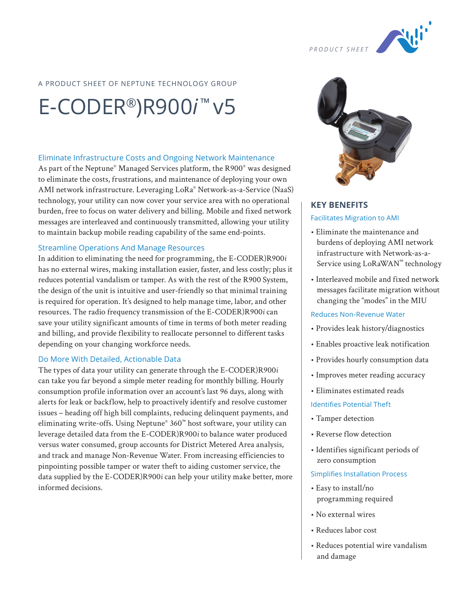

## A PRODUCT SHEET OF NEPTUNE TECHNOLOGY GROUP

# E-CODER®)R900*i* ™ v5

#### Eliminate Infrastructure Costs and Ongoing Network Maintenance

As part of the Neptune® Managed Services platform, the R900® was designed to eliminate the costs, frustrations, and maintenance of deploying your own AMI network infrastructure. Leveraging LoRa® Network-as-a-Service (NaaS) technology, your utility can now cover your service area with no operational burden, free to focus on water delivery and billing. Mobile and fixed network messages are interleaved and continuously transmitted, allowing your utility to maintain backup mobile reading capability of the same end-points.

#### Streamline Operations And Manage Resources

In addition to eliminating the need for programming, the E-CODER)R900*i* has no external wires, making installation easier, faster, and less costly; plus it reduces potential vandalism or tamper. As with the rest of the R900 System, the design of the unit is intuitive and user-friendly so that minimal training is required for operation. It's designed to help manage time, labor, and other resources. The radio frequency transmission of the E-CODER)R900*i* can save your utility significant amounts of time in terms of both meter reading and billing, and provide flexibility to reallocate personnel to different tasks depending on your changing workforce needs.

#### Do More With Detailed, Actionable Data

The types of data your utility can generate through the E-CODER)R900*i* can take you far beyond a simple meter reading for monthly billing. Hourly consumption profile information over an account's last 96 days, along with alerts for leak or backflow, help to proactively identify and resolve customer issues – heading off high bill complaints, reducing delinquent payments, and eliminating write-offs. Using Neptune® 360™ host software, your utility can leverage detailed data from the E-CODER)R900*i* to balance water produced versus water consumed, group accounts for District Metered Area analysis, and track and manage Non-Revenue Water. From increasing efficiencies to pinpointing possible tamper or water theft to aiding customer service, the data supplied by the E-CODER)R900*i* can help your utility make better, more informed decisions.



# **KEY BENEFITS** Facilitates Migration to AMI

- Eliminate the maintenance and burdens of deploying AMI network infrastructure with Network-as-a-Service using LoRaWAN™ technology
- Interleaved mobile and fixed network messages facilitate migration without changing the "modes" in the MIU

#### Reduces Non-Revenue Water

- Provides leak history/diagnostics
- Enables proactive leak notification
- Provides hourly consumption data
- Improves meter reading accuracy
- Eliminates estimated reads

#### Identifies Potential Theft

- Tamper detection
- Reverse flow detection
- Identifies significant periods of zero consumption

#### Simplifies Installation Process

- Easy to install/no programming required
- No external wires
- Reduces labor cost
- Reduces potential wire vandalism and damage